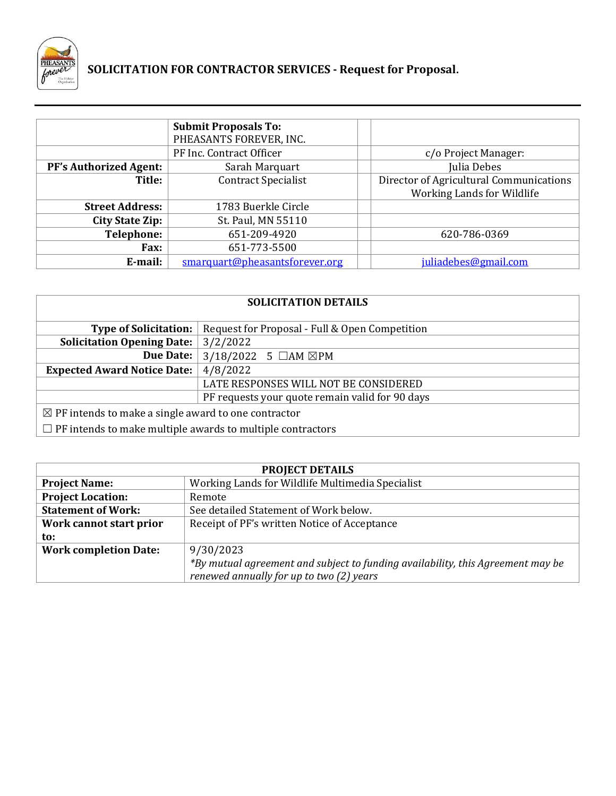

# **SOLICITATION FOR CONTRACTOR SERVICES ‐ Request for Proposal.**

|                               | <b>Submit Proposals To:</b>    |                                         |
|-------------------------------|--------------------------------|-----------------------------------------|
|                               | PHEASANTS FOREVER, INC.        |                                         |
|                               | PF Inc. Contract Officer       | c/o Project Manager:                    |
| <b>PF's Authorized Agent:</b> | Sarah Marquart                 | Julia Debes                             |
| Title:                        | <b>Contract Specialist</b>     | Director of Agricultural Communications |
|                               |                                | <b>Working Lands for Wildlife</b>       |
| <b>Street Address:</b>        | 1783 Buerkle Circle            |                                         |
| <b>City State Zip:</b>        | St. Paul, MN 55110             |                                         |
| Telephone:                    | 651-209-4920                   | 620-786-0369                            |
| <b>Fax:</b>                   | 651-773-5500                   |                                         |
| E-mail:                       | smarquart@pheasantsforever.org | juliadebes@gmail.com                    |

| <b>SOLICITATION DETAILS</b>                                       |                                                 |  |  |
|-------------------------------------------------------------------|-------------------------------------------------|--|--|
| <b>Type of Solicitation:</b>                                      | Request for Proposal - Full & Open Competition  |  |  |
| <b>Solicitation Opening Date:</b>                                 | 3/2/2022                                        |  |  |
| <b>Due Date:</b>                                                  | $3/18/2022$ 5 $\Box$ AM $\boxtimes$ PM          |  |  |
| <b>Expected Award Notice Date:</b>                                | 4/8/2022                                        |  |  |
|                                                                   | LATE RESPONSES WILL NOT BE CONSIDERED           |  |  |
|                                                                   | PF requests your quote remain valid for 90 days |  |  |
| $\boxtimes$ PF intends to make a single award to one contractor   |                                                 |  |  |
| $\Box$ PF intends to make multiple awards to multiple contractors |                                                 |  |  |

| <b>PROJECT DETAILS</b>       |                                                                                 |  |
|------------------------------|---------------------------------------------------------------------------------|--|
| <b>Project Name:</b>         | Working Lands for Wildlife Multimedia Specialist                                |  |
| <b>Project Location:</b>     | Remote                                                                          |  |
| <b>Statement of Work:</b>    | See detailed Statement of Work below.                                           |  |
| Work cannot start prior      | Receipt of PF's written Notice of Acceptance                                    |  |
| to:                          |                                                                                 |  |
| <b>Work completion Date:</b> | 9/30/2023                                                                       |  |
|                              | *By mutual agreement and subject to funding availability, this Agreement may be |  |
|                              | renewed annually for up to two (2) years                                        |  |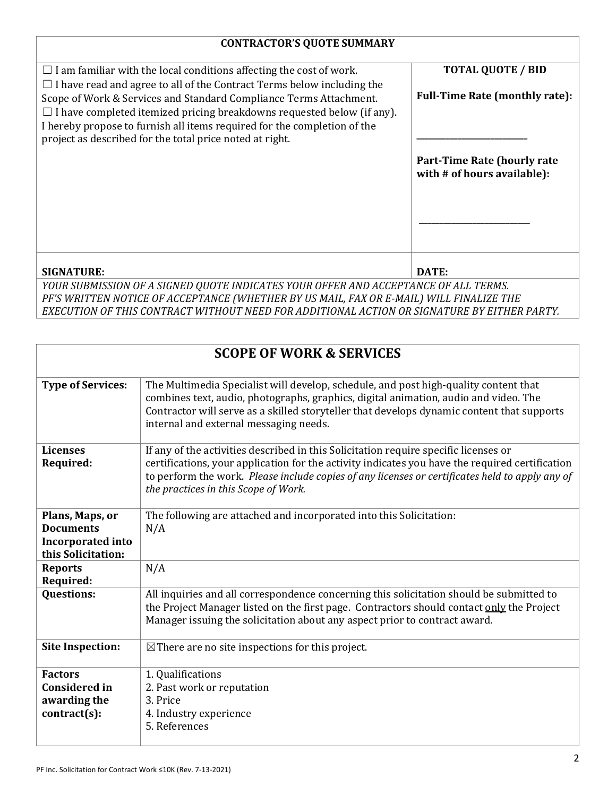## **CONTRACTOR'S QUOTE SUMMARY**

| $\Box$ I am familiar with the local conditions affecting the cost of work.                                                                                                                                                                                                                                                                                                   | <b>TOTAL QUOTE / BID</b>                                          |  |
|------------------------------------------------------------------------------------------------------------------------------------------------------------------------------------------------------------------------------------------------------------------------------------------------------------------------------------------------------------------------------|-------------------------------------------------------------------|--|
| $\Box$ I have read and agree to all of the Contract Terms below including the<br>Scope of Work & Services and Standard Compliance Terms Attachment.<br>$\Box$ I have completed itemized pricing breakdowns requested below (if any).<br>I hereby propose to furnish all items required for the completion of the<br>project as described for the total price noted at right. | <b>Full-Time Rate (monthly rate):</b>                             |  |
|                                                                                                                                                                                                                                                                                                                                                                              | <b>Part-Time Rate (hourly rate</b><br>with # of hours available): |  |
|                                                                                                                                                                                                                                                                                                                                                                              |                                                                   |  |
| <b>SIGNATURE:</b>                                                                                                                                                                                                                                                                                                                                                            | DATE:                                                             |  |
| YOUR SUBMISSION OF A SIGNED QUOTE INDICATES YOUR OFFER AND ACCEPTANCE OF ALL TERMS.<br>חוזי חלו וגמידיות וואו במגוון הוא היה מוליטות ווא או טוב מחוזי היה מוליטות המינויים הוא מספר המוליטות היהם                                                                                                                                                                            |                                                                   |  |

*PF'S WRITTEN NOTICE OF ACCEPTANCE (WHETHER BY US MAIL, FAX OR E‐MAIL) WILL FINALIZE THE EXECUTION OF THIS CONTRACT WITHOUT NEED FOR ADDITIONAL ACTION OR SIGNATURE BY EITHER PARTY.*

| <b>SCOPE OF WORK &amp; SERVICES</b>                                                   |                                                                                                                                                                                                                                                                                                                                    |  |
|---------------------------------------------------------------------------------------|------------------------------------------------------------------------------------------------------------------------------------------------------------------------------------------------------------------------------------------------------------------------------------------------------------------------------------|--|
| <b>Type of Services:</b>                                                              | The Multimedia Specialist will develop, schedule, and post high-quality content that<br>combines text, audio, photographs, graphics, digital animation, audio and video. The<br>Contractor will serve as a skilled storyteller that develops dynamic content that supports<br>internal and external messaging needs.               |  |
| <b>Licenses</b><br><b>Required:</b>                                                   | If any of the activities described in this Solicitation require specific licenses or<br>certifications, your application for the activity indicates you have the required certification<br>to perform the work. Please include copies of any licenses or certificates held to apply any of<br>the practices in this Scope of Work. |  |
| Plans, Maps, or<br><b>Documents</b><br><b>Incorporated into</b><br>this Solicitation: | The following are attached and incorporated into this Solicitation:<br>N/A                                                                                                                                                                                                                                                         |  |
| <b>Reports</b><br>Required:                                                           | N/A                                                                                                                                                                                                                                                                                                                                |  |
| <b>Questions:</b>                                                                     | All inquiries and all correspondence concerning this solicitation should be submitted to<br>the Project Manager listed on the first page. Contractors should contact only the Project<br>Manager issuing the solicitation about any aspect prior to contract award.                                                                |  |
| <b>Site Inspection:</b>                                                               | $\boxtimes$ There are no site inspections for this project.                                                                                                                                                                                                                                                                        |  |
| <b>Factors</b><br><b>Considered in</b><br>awarding the<br>$contract(s)$ :             | 1. Qualifications<br>2. Past work or reputation<br>3. Price<br>4. Industry experience<br>5. References                                                                                                                                                                                                                             |  |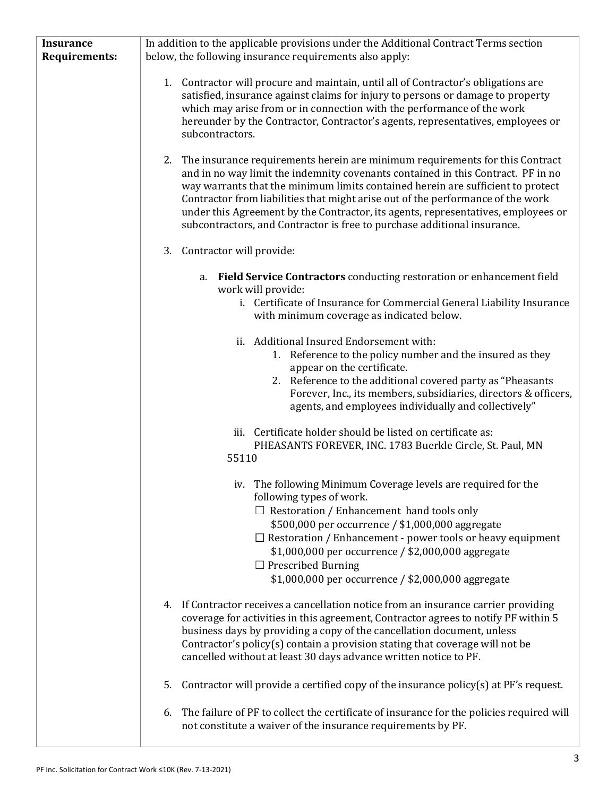| <b>Insurance</b>     | In addition to the applicable provisions under the Additional Contract Terms section                                                                                                                                                                                                                                                                                                                                                                                                                                                                                                                                                                                                                                                                                                       |  |
|----------------------|--------------------------------------------------------------------------------------------------------------------------------------------------------------------------------------------------------------------------------------------------------------------------------------------------------------------------------------------------------------------------------------------------------------------------------------------------------------------------------------------------------------------------------------------------------------------------------------------------------------------------------------------------------------------------------------------------------------------------------------------------------------------------------------------|--|
| <b>Requirements:</b> | below, the following insurance requirements also apply:                                                                                                                                                                                                                                                                                                                                                                                                                                                                                                                                                                                                                                                                                                                                    |  |
|                      | 1. Contractor will procure and maintain, until all of Contractor's obligations are<br>satisfied, insurance against claims for injury to persons or damage to property<br>which may arise from or in connection with the performance of the work<br>hereunder by the Contractor, Contractor's agents, representatives, employees or<br>subcontractors.<br>The insurance requirements herein are minimum requirements for this Contract<br>2.<br>and in no way limit the indemnity covenants contained in this Contract. PF in no<br>way warrants that the minimum limits contained herein are sufficient to protect<br>Contractor from liabilities that might arise out of the performance of the work<br>under this Agreement by the Contractor, its agents, representatives, employees or |  |
|                      | subcontractors, and Contractor is free to purchase additional insurance.                                                                                                                                                                                                                                                                                                                                                                                                                                                                                                                                                                                                                                                                                                                   |  |
|                      | 3. Contractor will provide:                                                                                                                                                                                                                                                                                                                                                                                                                                                                                                                                                                                                                                                                                                                                                                |  |
|                      | Field Service Contractors conducting restoration or enhancement field<br>a.<br>work will provide:<br>i. Certificate of Insurance for Commercial General Liability Insurance<br>with minimum coverage as indicated below.                                                                                                                                                                                                                                                                                                                                                                                                                                                                                                                                                                   |  |
|                      | ii. Additional Insured Endorsement with:<br>1. Reference to the policy number and the insured as they<br>appear on the certificate.<br>2. Reference to the additional covered party as "Pheasants"<br>Forever, Inc., its members, subsidiaries, directors & officers,<br>agents, and employees individually and collectively"                                                                                                                                                                                                                                                                                                                                                                                                                                                              |  |
|                      | iii. Certificate holder should be listed on certificate as:<br>PHEASANTS FOREVER, INC. 1783 Buerkle Circle, St. Paul, MN<br>55110                                                                                                                                                                                                                                                                                                                                                                                                                                                                                                                                                                                                                                                          |  |
|                      | iv. The following Minimum Coverage levels are required for the<br>following types of work.<br>$\Box$ Restoration / Enhancement hand tools only<br>\$500,000 per occurrence / \$1,000,000 aggregate<br>$\Box$ Restoration / Enhancement - power tools or heavy equipment<br>\$1,000,000 per occurrence / \$2,000,000 aggregate<br>$\Box$ Prescribed Burning<br>\$1,000,000 per occurrence / \$2,000,000 aggregate                                                                                                                                                                                                                                                                                                                                                                           |  |
|                      | 4. If Contractor receives a cancellation notice from an insurance carrier providing<br>coverage for activities in this agreement, Contractor agrees to notify PF within 5<br>business days by providing a copy of the cancellation document, unless<br>Contractor's policy(s) contain a provision stating that coverage will not be<br>cancelled without at least 30 days advance written notice to PF.                                                                                                                                                                                                                                                                                                                                                                                    |  |
|                      | Contractor will provide a certified copy of the insurance policy(s) at PF's request.<br>5.                                                                                                                                                                                                                                                                                                                                                                                                                                                                                                                                                                                                                                                                                                 |  |
|                      | The failure of PF to collect the certificate of insurance for the policies required will<br>6.<br>not constitute a waiver of the insurance requirements by PF.                                                                                                                                                                                                                                                                                                                                                                                                                                                                                                                                                                                                                             |  |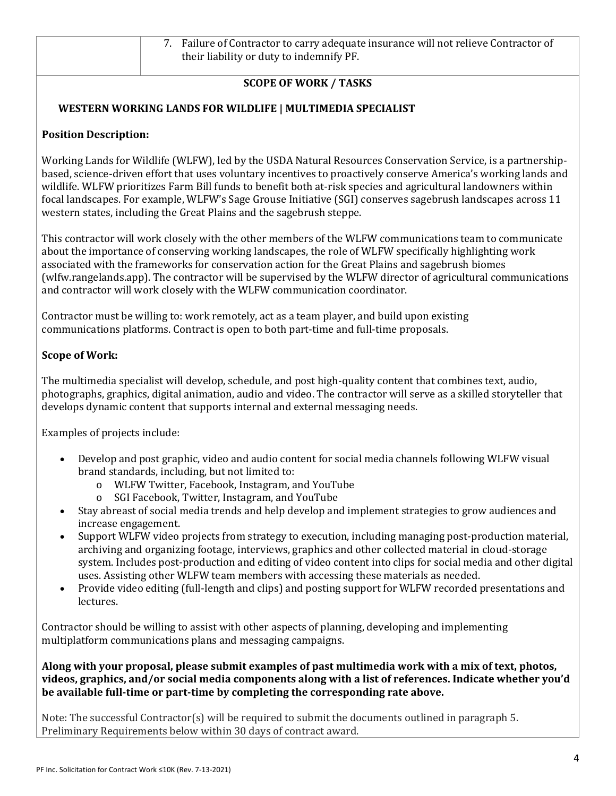# **SCOPE OF WORK / TASKS**

## **WESTERN WORKING LANDS FOR WILDLIFE | MULTIMEDIA SPECIALIST**

#### **Position Description:**

Working Lands for Wildlife (WLFW), led by the USDA Natural Resources Conservation Service, is a partnershipbased, science-driven effort that uses voluntary incentives to proactively conserve America's working lands and wildlife. WLFW prioritizes Farm Bill funds to benefit both at-risk species and agricultural landowners within focal landscapes. For example, WLFW's Sage Grouse Initiative (SGI) conserves sagebrush landscapes across 11 western states, including the Great Plains and the sagebrush steppe.

This contractor will work closely with the other members of the WLFW communications team to communicate about the importance of conserving working landscapes, the role of WLFW specifically highlighting work associated with the frameworks for conservation action for the Great Plains and sagebrush biomes (wlfw.rangelands.app). The contractor will be supervised by the WLFW director of agricultural communications and contractor will work closely with the WLFW communication coordinator.

Contractor must be willing to: work remotely, act as a team player, and build upon existing communications platforms. Contract is open to both part-time and full-time proposals.

#### **Scope of Work:**

The multimedia specialist will develop, schedule, and post high-quality content that combines text, audio, photographs, graphics, digital animation, audio and video. The contractor will serve as a skilled storyteller that develops dynamic content that supports internal and external messaging needs.

Examples of projects include:

- Develop and post graphic, video and audio content for social media channels following WLFW visual brand standards, including, but not limited to:
	- o WLFW Twitter, Facebook, Instagram, and YouTube
	- o SGI Facebook, Twitter, Instagram, and YouTube
- Stay abreast of social media trends and help develop and implement strategies to grow audiences and increase engagement.
- Support WLFW video projects from strategy to execution, including managing post-production material, archiving and organizing footage, interviews, graphics and other collected material in cloud-storage system. Includes post-production and editing of video content into clips for social media and other digital uses. Assisting other WLFW team members with accessing these materials as needed.
- Provide video editing (full-length and clips) and posting support for WLFW recorded presentations and lectures.

Contractor should be willing to assist with other aspects of planning, developing and implementing multiplatform communications plans and messaging campaigns.

**Along with your proposal, please submit examples of past multimedia work with a mix of text, photos, videos, graphics, and/or social media components along with a list of references. Indicate whether you'd be available full‐time or part‐time by completing the corresponding rate above.** 

Note: The successful Contractor(s) will be required to submit the documents outlined in paragraph 5. Preliminary Requirements below within 30 days of contract award.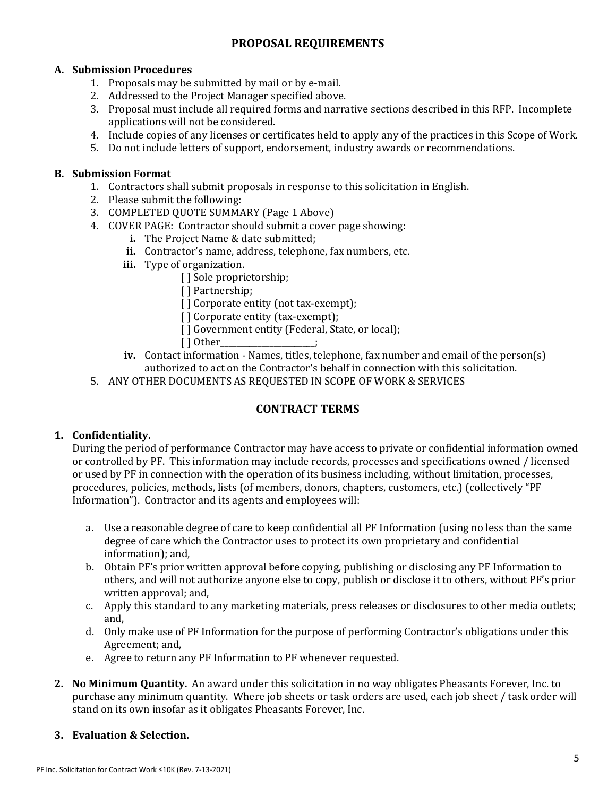# **PROPOSAL REQUIREMENTS**

#### **A. Submission Procedures**

- 1. Proposals may be submitted by mail or by e-mail.
- 2. Addressed to the Project Manager specified above.
- 3. Proposal must include all required forms and narrative sections described in this RFP. Incomplete applications will not be considered.
- 4. Include copies of any licenses or certificates held to apply any of the practices in this Scope of Work.
- 5. Do not include letters of support, endorsement, industry awards or recommendations.

#### **B. Submission Format**

- 1. Contractors shall submit proposals in response to this solicitation in English.
- 2. Please submit the following:
- 3. COMPLETED QUOTE SUMMARY (Page 1 Above)
- 4. COVER PAGE: Contractor should submit a cover page showing:
	- **i.** The Project Name & date submitted;
	- **ii.** Contractor's name, address, telephone, fax numbers, etc.
	- **iii.** Type of organization.
		- [] Sole proprietorship;
		- [ ] Partnership;
		- [] Corporate entity (not tax-exempt);
		- [] Corporate entity (tax-exempt);
		- [] Government entity (Federal, State, or local);
		- $[ ] 0$ ther
	- **iv.** Contact information Names, titles, telephone, fax number and email of the person(s) authorized to act on the Contractor's behalf in connection with this solicitation.
- 5. ANY OTHER DOCUMENTS AS REQUESTED IN SCOPE OF WORK & SERVICES

# **CONTRACT TERMS**

## **1. Confidentiality.**

During the period of performance Contractor may have access to private or confidential information owned or controlled by PF. This information may include records, processes and specifications owned / licensed or used by PF in connection with the operation of its business including, without limitation, processes, procedures, policies, methods, lists (of members, donors, chapters, customers, etc.) (collectively "PF Information"). Contractor and its agents and employees will:

- a. Use a reasonable degree of care to keep confidential all PF Information (using no less than the same degree of care which the Contractor uses to protect its own proprietary and confidential information); and,
- b. Obtain PF's prior written approval before copying, publishing or disclosing any PF Information to others, and will not authorize anyone else to copy, publish or disclose it to others, without PF's prior written approval; and,
- c. Apply this standard to any marketing materials, press releases or disclosures to other media outlets; and,
- d. Only make use of PF Information for the purpose of performing Contractor's obligations under this Agreement; and,
- e. Agree to return any PF Information to PF whenever requested.
- **2. No Minimum Quantity.** An award under this solicitation in no way obligates Pheasants Forever, Inc. to purchase any minimum quantity. Where job sheets or task orders are used, each job sheet / task order will stand on its own insofar as it obligates Pheasants Forever, Inc.

## **3. Evaluation & Selection.**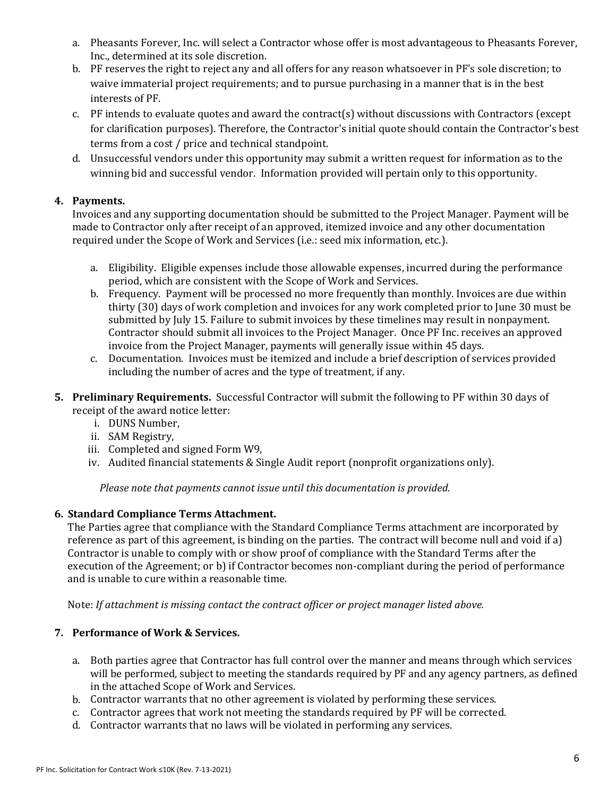- a. Pheasants Forever, Inc. will select a Contractor whose offer is most advantageous to Pheasants Forever, Inc., determined at its sole discretion.
- b. PF reserves the right to reject any and all offers for any reason whatsoever in PF's sole discretion; to waive immaterial project requirements; and to pursue purchasing in a manner that is in the best interests of PF.
- c. PF intends to evaluate quotes and award the contract(s) without discussions with Contractors (except for clarification purposes). Therefore, the Contractor's initial quote should contain the Contractor's best terms from a cost / price and technical standpoint.
- d. Unsuccessful vendors under this opportunity may submit a written request for information as to the winning bid and successful vendor. Information provided will pertain only to this opportunity.

## **4. Payments.**

Invoices and any supporting documentation should be submitted to the Project Manager. Payment will be made to Contractor only after receipt of an approved, itemized invoice and any other documentation required under the Scope of Work and Services (i.e.: seed mix information, etc.).

- a. Eligibility. Eligible expenses include those allowable expenses, incurred during the performance period, which are consistent with the Scope of Work and Services.
- b. Frequency. Payment will be processed no more frequently than monthly. Invoices are due within thirty (30) days of work completion and invoices for any work completed prior to June 30 must be submitted by July 15. Failure to submit invoices by these timelines may result in nonpayment. Contractor should submit all invoices to the Project Manager. Once PF Inc. receives an approved invoice from the Project Manager, payments will generally issue within 45 days.
- c. Documentation. Invoices must be itemized and include a brief description of services provided including the number of acres and the type of treatment, if any.
- **5. Preliminary Requirements.** Successful Contractor will submit the following to PF within 30 days of receipt of the award notice letter:
	- i. DUNS Number,
	- ii. SAM Registry,
	- iii. Completed and signed Form W9,
	- iv. Audited financial statements & Single Audit report (nonprofit organizations only).

*Please note that payments cannot issue until this documentation is provided.*

#### **6. Standard Compliance Terms Attachment.**

The Parties agree that compliance with the Standard Compliance Terms attachment are incorporated by reference as part of this agreement, is binding on the parties. The contract will become null and void if a) Contractor is unable to comply with or show proof of compliance with the Standard Terms after the execution of the Agreement; or b) if Contractor becomes non-compliant during the period of performance and is unable to cure within a reasonable time.

Note: *If attachment is missing contact the contract officer or project manager listed above.*

## **7. Performance of Work & Services.**

- a. Both parties agree that Contractor has full control over the manner and means through which services will be performed, subject to meeting the standards required by PF and any agency partners, as defined in the attached Scope of Work and Services.
- b. Contractor warrants that no other agreement is violated by performing these services.
- c. Contractor agrees that work not meeting the standards required by PF will be corrected.
- d. Contractor warrants that no laws will be violated in performing any services.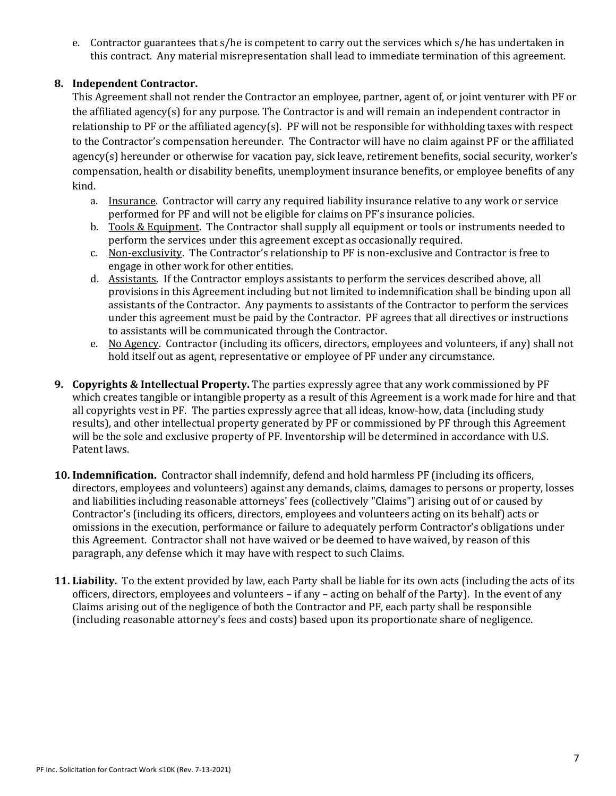e. Contractor guarantees that s/he is competent to carry out the services which s/he has undertaken in this contract. Any material misrepresentation shall lead to immediate termination of this agreement.

## **8. Independent Contractor.**

This Agreement shall not render the Contractor an employee, partner, agent of, or joint venturer with PF or the affiliated agency(s) for any purpose. The Contractor is and will remain an independent contractor in relationship to PF or the affiliated agency(s). PF will not be responsible for withholding taxes with respect to the Contractor's compensation hereunder. The Contractor will have no claim against PF or the affiliated agency(s) hereunder or otherwise for vacation pay, sick leave, retirement benefits, social security, worker's compensation, health or disability benefits, unemployment insurance benefits, or employee benefits of any kind.

- a. Insurance. Contractor will carry any required liability insurance relative to any work or service performed for PF and will not be eligible for claims on PF's insurance policies.
- b. Tools & Equipment. The Contractor shall supply all equipment or tools or instruments needed to perform the services under this agreement except as occasionally required.
- c. Non-exclusivity. The Contractor's relationship to PF is non-exclusive and Contractor is free to engage in other work for other entities.
- d. Assistants. If the Contractor employs assistants to perform the services described above, all provisions in this Agreement including but not limited to indemnification shall be binding upon all assistants of the Contractor. Any payments to assistants of the Contractor to perform the services under this agreement must be paid by the Contractor. PF agrees that all directives or instructions to assistants will be communicated through the Contractor.
- e. No Agency. Contractor (including its officers, directors, employees and volunteers, if any) shall not hold itself out as agent, representative or employee of PF under any circumstance.
- **9. Copyrights & Intellectual Property.** The parties expressly agree that any work commissioned by PF which creates tangible or intangible property as a result of this Agreement is a work made for hire and that all copyrights vest in PF. The parties expressly agree that all ideas, know-how, data (including study results), and other intellectual property generated by PF or commissioned by PF through this Agreement will be the sole and exclusive property of PF. Inventorship will be determined in accordance with U.S. Patent laws.
- **10. Indemnification.** Contractor shall indemnify, defend and hold harmless PF (including its officers, directors, employees and volunteers) against any demands, claims, damages to persons or property, losses and liabilities including reasonable attorneys' fees (collectively "Claims") arising out of or caused by Contractor's (including its officers, directors, employees and volunteers acting on its behalf) acts or omissions in the execution, performance or failure to adequately perform Contractor's obligations under this Agreement. Contractor shall not have waived or be deemed to have waived, by reason of this paragraph, any defense which it may have with respect to such Claims.
- **11. Liability.** To the extent provided by law, each Party shall be liable for its own acts (including the acts of its officers, directors, employees and volunteers – if any – acting on behalf of the Party). In the event of any Claims arising out of the negligence of both the Contractor and PF, each party shall be responsible (including reasonable attorney's fees and costs) based upon its proportionate share of negligence.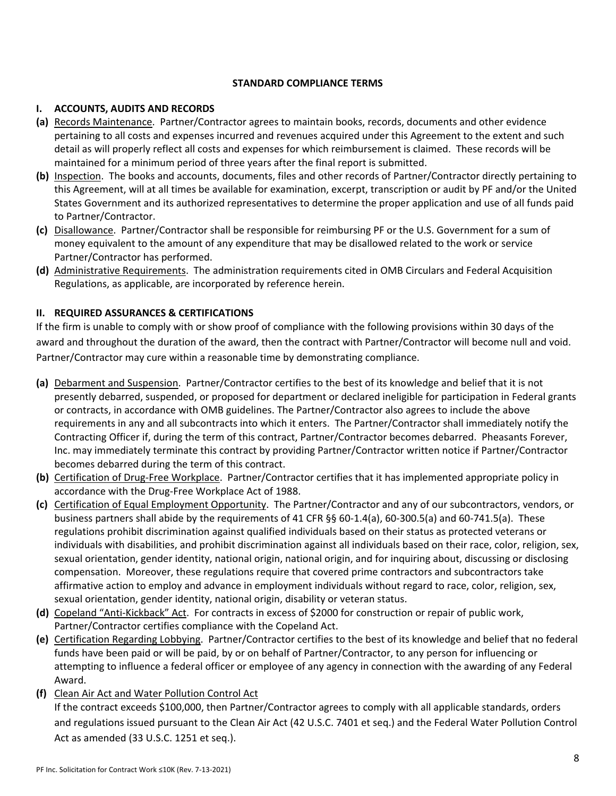#### **STANDARD COMPLIANCE TERMS**

#### **I. ACCOUNTS, AUDITS AND RECORDS**

- **(a)** Records Maintenance. Partner/Contractor agrees to maintain books, records, documents and other evidence pertaining to all costs and expenses incurred and revenues acquired under this Agreement to the extent and such detail as will properly reflect all costs and expenses for which reimbursement is claimed. These records will be maintained for a minimum period of three years after the final report is submitted.
- **(b)** Inspection. The books and accounts, documents, files and other records of Partner/Contractor directly pertaining to this Agreement, will at all times be available for examination, excerpt, transcription or audit by PF and/or the United States Government and its authorized representatives to determine the proper application and use of all funds paid to Partner/Contractor.
- **(c)** Disallowance. Partner/Contractor shall be responsible for reimbursing PF or the U.S. Government for a sum of money equivalent to the amount of any expenditure that may be disallowed related to the work or service Partner/Contractor has performed.
- **(d)** Administrative Requirements. The administration requirements cited in OMB Circulars and Federal Acquisition Regulations, as applicable, are incorporated by reference herein.

#### **II. REQUIRED ASSURANCES & CERTIFICATIONS**

If the firm is unable to comply with or show proof of compliance with the following provisions within 30 days of the award and throughout the duration of the award, then the contract with Partner/Contractor will become null and void. Partner/Contractor may cure within a reasonable time by demonstrating compliance.

- **(a)** Debarment and Suspension. Partner/Contractor certifies to the best of its knowledge and belief that it is not presently debarred, suspended, or proposed for department or declared ineligible for participation in Federal grants or contracts, in accordance with OMB guidelines. The Partner/Contractor also agrees to include the above requirements in any and all subcontracts into which it enters. The Partner/Contractor shall immediately notify the Contracting Officer if, during the term of this contract, Partner/Contractor becomes debarred. Pheasants Forever, Inc. may immediately terminate this contract by providing Partner/Contractor written notice if Partner/Contractor becomes debarred during the term of this contract.
- **(b)** Certification of Drug‐Free Workplace. Partner/Contractor certifies that it has implemented appropriate policy in accordance with the Drug‐Free Workplace Act of 1988.
- **(c)** Certification of Equal Employment Opportunity. The Partner/Contractor and any of our subcontractors, vendors, or business partners shall abide by the requirements of 41 CFR §§ 60‐1.4(a), 60‐300.5(a) and 60‐741.5(a). These regulations prohibit discrimination against qualified individuals based on their status as protected veterans or individuals with disabilities, and prohibit discrimination against all individuals based on their race, color, religion, sex, sexual orientation, gender identity, national origin, national origin, and for inquiring about, discussing or disclosing compensation. Moreover, these regulations require that covered prime contractors and subcontractors take affirmative action to employ and advance in employment individuals without regard to race, color, religion, sex, sexual orientation, gender identity, national origin, disability or veteran status.
- **(d)** Copeland "Anti‐Kickback" Act. For contracts in excess of \$2000 for construction or repair of public work, Partner/Contractor certifies compliance with the Copeland Act.
- **(e)** Certification Regarding Lobbying. Partner/Contractor certifies to the best of its knowledge and belief that no federal funds have been paid or will be paid, by or on behalf of Partner/Contractor, to any person for influencing or attempting to influence a federal officer or employee of any agency in connection with the awarding of any Federal Award.
- **(f)** Clean Air Act and Water Pollution Control Act

If the contract exceeds \$100,000, then Partner/Contractor agrees to comply with all applicable standards, orders and regulations issued pursuant to the Clean Air Act (42 U.S.C. 7401 et seq.) and the Federal Water Pollution Control Act as amended (33 U.S.C. 1251 et seq.).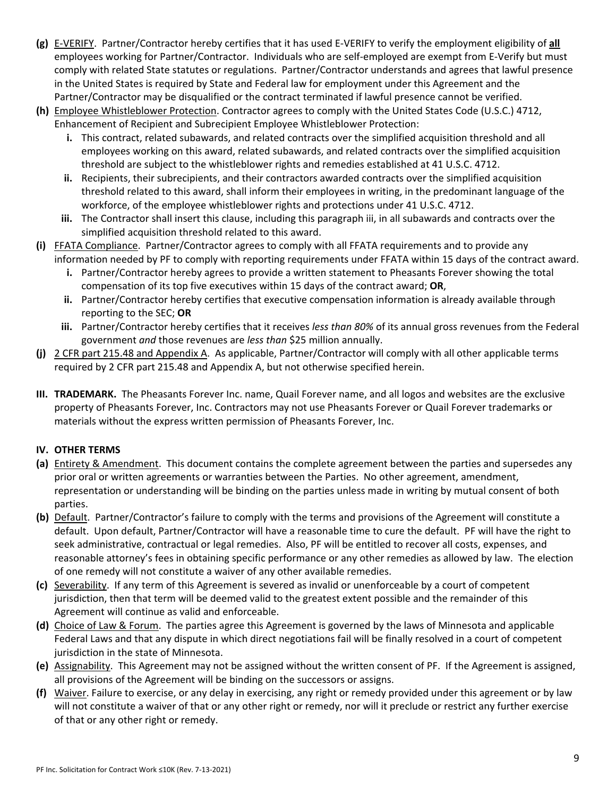- **(g)** E‐VERIFY. Partner/Contractor hereby certifies that it has used E‐VERIFY to verify the employment eligibility of **all** employees working for Partner/Contractor. Individuals who are self-employed are exempt from E-Verify but must comply with related State statutes or regulations. Partner/Contractor understands and agrees that lawful presence in the United States is required by State and Federal law for employment under this Agreement and the Partner/Contractor may be disqualified or the contract terminated if lawful presence cannot be verified.
- **(h)** Employee Whistleblower Protection. Contractor agrees to comply with the United States Code (U.S.C.) 4712, Enhancement of Recipient and Subrecipient Employee Whistleblower Protection:
	- **i.** This contract, related subawards, and related contracts over the simplified acquisition threshold and all employees working on this award, related subawards, and related contracts over the simplified acquisition threshold are subject to the whistleblower rights and remedies established at 41 U.S.C. 4712.
	- **ii.** Recipients, their subrecipients, and their contractors awarded contracts over the simplified acquisition threshold related to this award, shall inform their employees in writing, in the predominant language of the workforce, of the employee whistleblower rights and protections under 41 U.S.C. 4712.
	- **iii.** The Contractor shall insert this clause, including this paragraph iii, in all subawards and contracts over the simplified acquisition threshold related to this award.
- **(i)** FFATA Compliance. Partner/Contractor agrees to comply with all FFATA requirements and to provide any information needed by PF to comply with reporting requirements under FFATA within 15 days of the contract award.
	- **i.** Partner/Contractor hereby agrees to provide a written statement to Pheasants Forever showing the total compensation of its top five executives within 15 days of the contract award; **OR**,
	- **ii.** Partner/Contractor hereby certifies that executive compensation information is already available through reporting to the SEC; **OR**
	- **iii.** Partner/Contractor hereby certifies that it receives *less than 80%* of its annual gross revenues from the Federal government *and* those revenues are *less than* \$25 million annually.
- **(j)** 2 CFR part 215.48 and Appendix A. As applicable, Partner/Contractor will comply with all other applicable terms required by 2 CFR part 215.48 and Appendix A, but not otherwise specified herein.
- **III. TRADEMARK.** The Pheasants Forever Inc. name, Quail Forever name, and all logos and websites are the exclusive property of Pheasants Forever, Inc. Contractors may not use Pheasants Forever or Quail Forever trademarks or materials without the express written permission of Pheasants Forever, Inc.

#### **IV. OTHER TERMS**

- **(a)** Entirety & Amendment. This document contains the complete agreement between the parties and supersedes any prior oral or written agreements or warranties between the Parties. No other agreement, amendment, representation or understanding will be binding on the parties unless made in writing by mutual consent of both parties.
- **(b)** Default. Partner/Contractor's failure to comply with the terms and provisions of the Agreement will constitute a default. Upon default, Partner/Contractor will have a reasonable time to cure the default. PF will have the right to seek administrative, contractual or legal remedies. Also, PF will be entitled to recover all costs, expenses, and reasonable attorney's fees in obtaining specific performance or any other remedies as allowed by law. The election of one remedy will not constitute a waiver of any other available remedies.
- **(c)** Severability. If any term of this Agreement is severed as invalid or unenforceable by a court of competent jurisdiction, then that term will be deemed valid to the greatest extent possible and the remainder of this Agreement will continue as valid and enforceable.
- **(d)** Choice of Law & Forum. The parties agree this Agreement is governed by the laws of Minnesota and applicable Federal Laws and that any dispute in which direct negotiations fail will be finally resolved in a court of competent jurisdiction in the state of Minnesota.
- **(e)** Assignability. This Agreement may not be assigned without the written consent of PF. If the Agreement is assigned, all provisions of the Agreement will be binding on the successors or assigns.
- **(f)** Waiver. Failure to exercise, or any delay in exercising, any right or remedy provided under this agreement or by law will not constitute a waiver of that or any other right or remedy, nor will it preclude or restrict any further exercise of that or any other right or remedy.